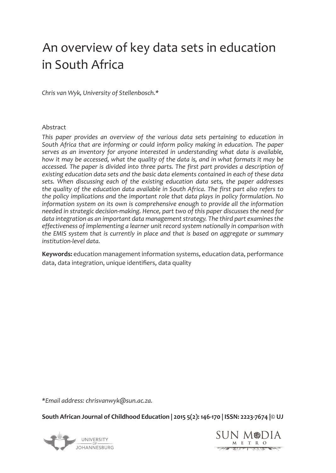# An overview of key data sets in education in South Africa

*Chris van Wyk, University of Stellenbosch.\**

#### Abstract

This paper provides an overview of the various data sets pertaining to education in *South Africa that are informing or could inform policy making in education. The paper serves as an inventory for anyone interested in understanding what data is available, how it may be accessed, what the quality of the data is, and in what formats it may be accessed. The paper is divided into three parts. The first part provides a description of existing education data sets and the basic data elements contained in each of these data sets. When discussing each of the existing education data sets, the paper addresses the quality of the education data available in South Africa. The first part also refers to the policy implications and the important role that data plays in policy formulation. No information system on its own is comprehensive enough to provide all the information needed in strategic decision-making. Hence, part two of this paper discusses the need for data integration as an important data management strategy. The third part examines the effectiveness of implementing a learner unit record system nationally in comparison with the EMIS system that is currently in place and that is based on aggregate or summary institution-level data.*

**Keywords:** education management information systems, education data, performance data, data integration, unique identifiers, data quality

*\*Email address: chrisvanwyk@sun.ac.za.*

**South African Journal of Childhood Education | 2015 5(2): 146-170 | ISSN: 2223-7674 |© UJ**



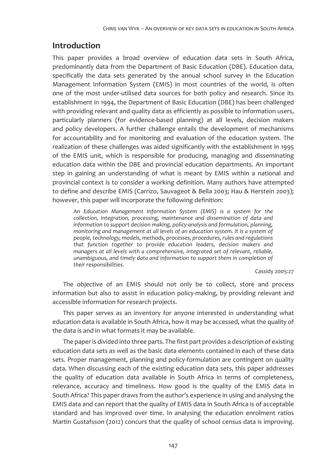# **Introduction**

This paper provides a broad overview of education data sets in South Africa, predominantly data from the Department of Basic Education (DBE). Education data, specifically the data sets generated by the annual school survey in the Education Management Information System (EMIS) in most countries of the world, is often one of the most under-utilised data sources for both policy and research. Since its establishment in 1994, the Department of Basic Education (DBE) has been challenged with providing relevant and quality data as efficiently as possible to information users, particularly planners (for evidence-based planning) at all levels, decision makers and policy developers. A further challenge entails the development of mechanisms for accountability and for monitoring and evaluation of the education system. The realization of these challenges was aided significantly with the establishment in 1995 of the EMIS unit, which is responsible for producing, managing and disseminating education data within the DBE and provincial education departments. An important step in gaining an understanding of what is meant by EMIS within a national and provincial context is to consider a working definition. Many authors have attempted to define and describe EMIS (Carrizo, Sauvageot & Bella 2003; Hau & Herstein 2003); however, this paper will incorporate the following definition:

*An Education Management Information System (EMIS) is a system for the collection, integration, processing, maintenance and dissemination of data and information to support decision making, policy-analysis and formulation, planning, monitoring and management at all levels of an education system. It is a system of people, technology, models, methods, processes, procedures, rules and regulations that function together to provide education leaders, decision makers and managers at all levels with a comprehensive, integrated set of relevant, reliable, unambiguous, and timely data and information to support them in completion of their responsibilities.*

#### Cassidy 2005:27

The objective of an EMIS should not only be to collect, store and process information but also to assist in education policy-making, by providing relevant and accessible information for research projects.

This paper serves as an inventory for anyone interested in understanding what education data is available in South Africa, how it may be accessed, what the quality of the data is and in what formats it may be available.

The paper is divided into three parts. The first part provides a description of existing education data sets as well as the basic data elements contained in each of these data sets. Proper management, planning and policy-formulation are contingent on quality data. When discussing each of the existing education data sets, this paper addresses the quality of education data available in South Africa in terms of completeness, relevance, accuracy and timeliness. How good is the quality of the EMIS data in South Africa? This paper draws from the author's experience in using and analysing the EMIS data and can report that the quality of EMIS data in South Africa is of acceptable standard and has improved over time. In analysing the education enrolment ratios Martin Gustafsson (2012) concurs that the quality of school census data is improving.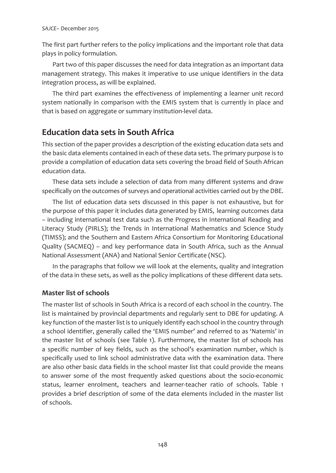The first part further refers to the policy implications and the important role that data plays in policy formulation.

Part two of this paper discusses the need for data integration as an important data management strategy. This makes it imperative to use unique identifiers in the data integration process, as will be explained.

The third part examines the effectiveness of implementing a learner unit record system nationally in comparison with the EMIS system that is currently in place and that is based on aggregate or summary institution-level data.

# **Education data sets in South Africa**

This section of the paper provides a description of the existing education data sets and the basic data elements contained in each of these data sets. The primary purpose is to provide a compilation of education data sets covering the broad field of South African education data.

These data sets include a selection of data from many different systems and draw specifically on the outcomes of surveys and operational activities carried out by the DBE.

The list of education data sets discussed in this paper is not exhaustive, but for the purpose of this paper it includes data generated by EMIS, learning outcomes data – including international test data such as the Progress in International Reading and Literacy Study (PIRLS); the Trends in International Mathematics and Science Study (TIMSS); and the Southern and Eastern Africa Consortium for Monitoring Educational Quality (SACMEQ) – and key performance data in South Africa, such as the Annual National Assessment (ANA) and National Senior Certificate (NSC).

In the paragraphs that follow we will look at the elements, quality and integration of the data in these sets, as well as the policy implications of these different data sets.

#### **Master list of schools**

The master list of schools in South Africa is a record of each school in the country. The list is maintained by provincial departments and regularly sent to DBE for updating. A key function of the master list is to uniquely identify each school in the country through a school identifier, generally called the 'EMIS number' and referred to as 'Natemis' in the master list of schools (see Table 1). Furthermore, the master list of schools has a specific number of key fields, such as the school's examination number, which is specifically used to link school administrative data with the examination data. There are also other basic data fields in the school master list that could provide the means to answer some of the most frequently asked questions about the socio-economic status, learner enrolment, teachers and learner-teacher ratio of schools. Table 1 provides a brief description of some of the data elements included in the master list of schools.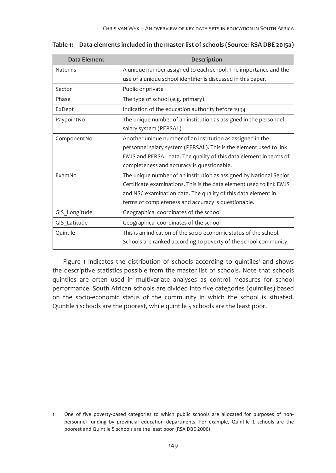| <b>Data Element</b> | <b>Description</b>                                                   |
|---------------------|----------------------------------------------------------------------|
| <b>Natemis</b>      | A unique number assigned to each school. The importance and the      |
|                     | use of a unique school identifier is discussed in this paper.        |
| Sector              | Public or private                                                    |
| Phase               | The type of school (e.g. primary)                                    |
| ExDept              | Indication of the education authority before 1994                    |
| PaypointNo          | The unique number of an institution as assigned in the personnel     |
|                     | salary system (PERSAL)                                               |
| ComponentNo         | Another unique number of an institution as assigned in the           |
|                     | personnel salary system (PERSAL). This is the element used to link   |
|                     | EMIS and PERSAL data. The quality of this data element in terms of   |
|                     | completeness and accuracy is questionable.                           |
| ExamNo              | The unique number of an institution as assigned by National Senior   |
|                     | Certificate examinations. This is the data element used to link EMIS |
|                     | and NSC examination data. The quality of this data element in        |
|                     | terms of completeness and accuracy is questionable.                  |
| GIS Longitude       | Geographical coordinates of the school                               |
| GIS Latitude        | Geographical coordinates of the school                               |
| Quintile            | This is an indication of the socio-economic status of the school.    |
|                     | Schools are ranked according to poverty of the school community.     |

**Table 1: Data elements included in the master list of schools (Source: RSA DBE 2015a)**

Figure 1 indicates the distribution of schools according to quintiles<sup>1</sup> and shows the descriptive statistics possible from the master list of schools. Note that schools quintiles are often used in multivariate analyses as control measures for school performance. South African schools are divided into five categories (quintiles) based on the socio-economic status of the community in which the school is situated. Quintile 1 schools are the poorest, while quintile 5 schools are the least poor.

<sup>1</sup> One of five poverty-based categories to which public schools are allocated for purposes of nonpersonnel funding by provincial education departments. For example, Quintile 1 schools are the poorest and Quintile 5 schools are the least poor (RSA DBE 2006).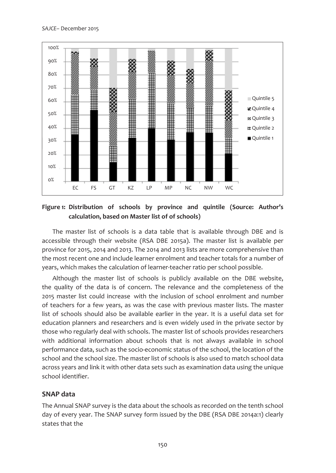

**Figure 1: Distribution of schools by province and quintile (Source: Author's calculation, based on Master list of of schools)**

The master list of schools is a data table that is available through DBE and is accessible through their website (RSA DBE 2015a). The master list is available per province for 2015, 2014 and 2013. The 2014 and 2013 lists are more comprehensive than the most recent one and include learner enrolment and teacher totals for a number of years, which makes the calculation of learner-teacher ratio per school possible.

Although the master list of schools is publicly available on the DBE website, the quality of the data is of concern. The relevance and the completeness of the 2015 master list could increase with the inclusion of school enrolment and number of teachers for a few years, as was the case with previous master lists. The master list of schools should also be available earlier in the year. It is a useful data set for education planners and researchers and is even widely used in the private sector by those who regularly deal with schools. The master list of schools provides researchers with additional information about schools that is not always available in school performance data, such as the socio-economic status of the school, the location of the school and the school size. The master list of schools is also used to match school data across years and link it with other data sets such as examination data using the unique school identifier.

#### **SNAP data**

The Annual SNAP survey is the data about the schools as recorded on the tenth school day of every year. The SNAP survey form issued by the DBE (RSA DBE 2014a:1) clearly states that the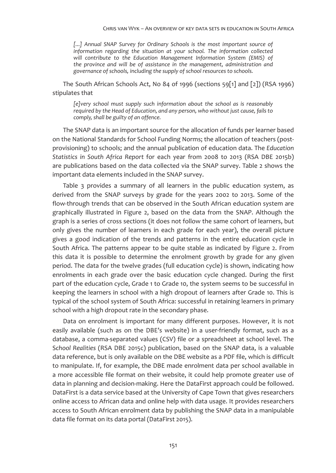[...] Annual SNAP Survey for Ordinary Schools is the most important source of *information regarding the situation at your school. The information collected will contribute to the Education Management Information System (EMIS) of the province and will be of assistance in the management, administration and governance of schools, including the supply of school resources to schools.*

The South African Schools Act, No 84 of 1996 (sections 59[1] and [2]) (RSA 1996) stipulates that

*[e]very school must supply such information about the school as is reasonably required by the Head of Education, and any person, who without just cause, fails to comply, shall be guilty of an offence.* 

The SNAP data is an important source for the allocation of funds per learner based on the National Standards for School Funding Norms; the allocation of teachers (postprovisioning) to schools; and the annual publication of education data. The *Education Statistics in South Africa Report* for each year from 2008 to 2013 (RSA DBE 2015b) are publications based on the data collected via the SNAP survey. Table 2 shows the important data elements included in the SNAP survey.

Table 3 provides a summary of all learners in the public education system, as derived from the SNAP surveys by grade for the years 2002 to 2013. Some of the flow-through trends that can be observed in the South African education system are graphically illustrated in Figure 2, based on the data from the SNAP. Although the graph is a series of cross sections (it does not follow the same cohort of learners, but only gives the number of learners in each grade for each year), the overall picture gives a good indication of the trends and patterns in the entire education cycle in South Africa. The patterns appear to be quite stable as indicated by Figure 2. From this data it is possible to determine the enrolment growth by grade for any given period. The data for the twelve grades (full education cycle) is shown, indicating how enrolments in each grade over the basic education cycle changed. During the first part of the education cycle, Grade 1 to Grade 10, the system seems to be successful in keeping the learners in school with a high dropout of learners after Grade 10. This is typical of the school system of South Africa: successful in retaining learners in primary school with a high dropout rate in the secondary phase.

Data on enrolment is important for many different purposes. However, it is not easily available (such as on the DBE's website) in a user-friendly format, such as a database, a comma-separated values (CSV) file or a spreadsheet at school level. The S*chool Realities* (RSA DBE 2015c) publication, based on the SNAP data, is a valuable data reference, but is only available on the DBE website as a PDF file, which is difficult to manipulate. If, for example, the DBE made enrolment data per school available in a more accessible file format on their website, it could help promote greater use of data in planning and decision-making. Here the DataFirst approach could be followed. DataFirst is a data service based at the University of Cape Town that gives researchers online access to African data and online help with data usage. It provides researchers access to South African enrolment data by publishing the SNAP data in a manipulable data file format on its data portal (DataFirst 2015).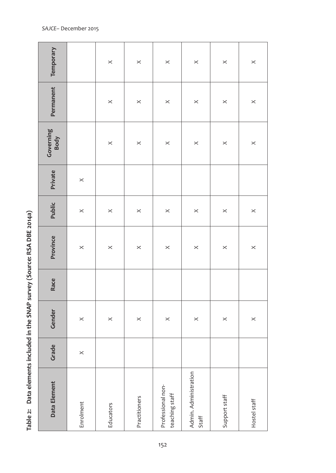| I<br>$\overline{a}$<br>しょくしょしょ                                                                      |
|-----------------------------------------------------------------------------------------------------|
| ı                                                                                                   |
| í<br>֧֧ׅׅ֧ׅ֧ׅ֧ׅ֧֧֧ׅ֧֧֧ׅ֧֧֧֧֧֧֧ׅ֧֧֧֧֧֚֚֚֚֚֚֚֚֚֚֚֚֚֚֚֚֚֚֚֚֚֚֚֚֚֚֝֝֝֝֝֬֝֝֓֝֬֝֝֬֝֬֝֝֬֝֬֝֬֝֬֝֬֝֬֝֝֬֝֬֝֝֬ |
| ֚֚                                                                                                  |
| $\frac{1}{2}$<br>$\frac{1}{2}$<br>ĺ<br>ļ                                                            |
| i<br>J<br>١<br>I                                                                                    |

| Data Element                        | Grade    | Gender                | Race | Province              | Public                | Private               | Governing<br>Body     | Permanent             | Temporary             |
|-------------------------------------|----------|-----------------------|------|-----------------------|-----------------------|-----------------------|-----------------------|-----------------------|-----------------------|
| Enrolment                           | $\times$ | $\times$              |      | $\boldsymbol{\times}$ | $\times$              | $\boldsymbol{\times}$ |                       |                       |                       |
| Educators                           |          | $\boldsymbol{\times}$ |      | $\boldsymbol{\times}$ | $\boldsymbol{\times}$ |                       | $\boldsymbol{\times}$ | $\boldsymbol{\times}$ | $\boldsymbol{\times}$ |
| Practitioners                       |          | $\boldsymbol{\times}$ |      | $\boldsymbol{\times}$ | $\times$              |                       | $\boldsymbol{\times}$ | $\boldsymbol{\times}$ | $\boldsymbol{\times}$ |
| Professional non-<br>teaching staff |          | $\times$              |      | $\boldsymbol{\times}$ | $\times$              |                       | $\boldsymbol{\times}$ | $\boldsymbol{\times}$ | $\boldsymbol{\times}$ |
| Admin. Administration<br>Staff      |          | $\times$              |      | $\boldsymbol{\times}$ | $\boldsymbol{\times}$ |                       | $\times$              | $\boldsymbol{\times}$ | $\boldsymbol{\times}$ |
| Support staff                       |          | $\times$              |      | $\boldsymbol{\times}$ | $\boldsymbol{\times}$ |                       | $\boldsymbol{\times}$ | $\boldsymbol{\times}$ | $\boldsymbol{\times}$ |
| Hostel staff                        |          | $\times$              |      | $\boldsymbol{\times}$ | $\times$              |                       | $\boldsymbol{\times}$ | $\boldsymbol{\times}$ | $\times$              |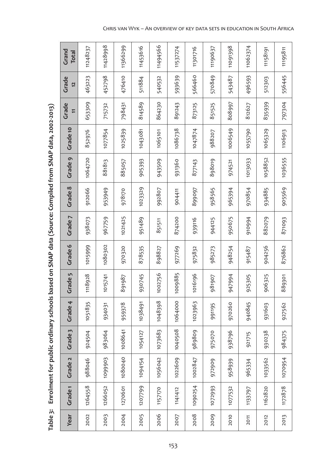Table 3: Enrolment for public ordinary schools based on SNAP data (Source: Compiled from SNAP data, 2002-2013) **Table 3: Enrolment for public ordinary schools based on SNAP data (Source: Compiled from SNAP data, 2002-2013)**

| Year | Grade <sub>1</sub> | rade <sub>2</sub><br>Ū   | Grade 3 | Grade 4 | Grade 5 | Grade 6 | Grade <sub>7</sub> | Grade 8 | Grade <sub>9</sub> | Grade <sub>10</sub> | Grade<br>$\overline{1}$ | Grade<br>$\overline{12}$ | Grand<br><b>Total</b> |
|------|--------------------|--------------------------|---------|---------|---------|---------|--------------------|---------|--------------------|---------------------|-------------------------|--------------------------|-----------------------|
| 2002 | 1264558            | 988046                   | 924504  | 1051835 | 1118928 | 1015999 | 938073             | 912066  | 1064720            | 852976              | 653309                  | 463223                   | 11248237              |
| 2003 | 1266052            | 1099903                  | 983064  | 934031  | 1015741 | 1080302 | 967759             | 953949  | 881813             | 1077854             | 715732                  | 452798                   | 11428998              |
| 2004 | 1270601            | 1080040                  | 1008641 | 959378  | 891987  | 970320  | 1021425            | 978170  | 885057             | 1025839             | 798431                  | 476410                   | 11366299              |
| 2005 | 1207799            | 1094154                  | 1054127 | 1038491 | 930745  | 878535  | 951489             | 1023329 | 905393             | 1043081             | 814589                  | 511884                   | 11453616              |
| 2006 | 1157170            | 156042<br>$\overline{c}$ | 1073683 | 1048398 | 1002756 | 898827  | 851511             | 992807  | 943509             | 1065101             | 864230                  | 540532                   | 11494566              |
| 2007 | 1141412            | 22609<br>ő               | 1040508 | 1064000 | 1009885 | 977269  | 874200             | 904411  | 931360             | 1086738             | 891243                  | 593639                   | 11537274              |
| 2008 | 1090254            | 02847<br>°               | 989809  | 1023963 | 1016196 | 975832  | 939116             | 899097  | 877143             | 1047874             | 873125                  | 566460                   | 11301716              |
| 2009 | 1072993            | 972909                   | 975070  | 991195  | 981907  | 985273  | 944125             | 958565  | 898019             | 988207              | 851525                  | 570849                   | 11190637              |
| 2010 | 1077532            | 958939                   | 938796  | 970260  | 947994  | 948254  | 950675             | 965394  | 974521             | 1006549             | 808997                  | 543487                   | 11091398              |
| 2011 | 1133797            | 965334                   | 921715  | 940845  | 925305  | 915487  | 910994             | 970854  | 1013033            | 1055790             | 812627                  | 496593                   | 11062374              |
| 2012 | 1162820            | 1033562                  | 930238  | 931603  | 906325  | 904256  | 882079             | 934885  | 1058852            | 1065329             | 835939                  | 512303                   | 11158191              |
| 2013 | 1172878            | 1070954                  | 984375  | 927562  | 889301  | 876862  | 871093             | 905569  | 1036555            | 1106913             | 797304                  | 556445                   | 11195811              |

Chris van Wyk – An overview of key data sets in education in South Africa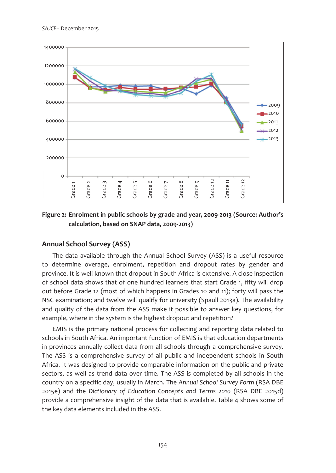

**Figure 2: Enrolment in public schools by grade and year, 2009-2013 (Source: Author's calculation, based on SNAP data, 2009-2013)**

#### **Annual School Survey (ASS)**

The data available through the Annual School Survey (ASS) is a useful resource to determine overage, enrolment, repetition and dropout rates by gender and province. It is well-known that dropout in South Africa is extensive. A close inspection of school data shows that of one hundred learners that start Grade 1, fifty will drop out before Grade 12 (most of which happens in Grades 10 and 11); forty will pass the NSC examination; and twelve will qualify for university (Spaull 2013a). The availability and quality of the data from the ASS make it possible to answer key questions, for example, where in the system is the highest dropout and repetition?

EMIS is the primary national process for collecting and reporting data related to schools in South Africa. An important function of EMIS is that education departments in provinces annually collect data from all schools through a comprehensive survey. The ASS is a comprehensive survey of all public and independent schools in South Africa. It was designed to provide comparable information on the public and private sectors, as well as trend data over time. The ASS is completed by all schools in the country on a specific day, usually in March. The *Annual School Survey Form* (RSA DBE 2015e) and the *Dictionary of Education Concepts and Terms 2010* (RSA DBE 2015d) provide a comprehensive insight of the data that is available. Table 4 shows some of the key data elements included in the ASS.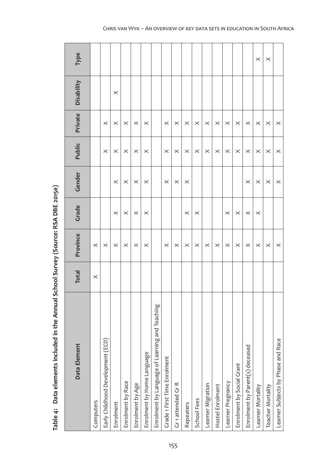| Data Element                                        | <b>Total</b> | Province | Grade    | Gender   | Public   | Private  | Disability | Type     |
|-----------------------------------------------------|--------------|----------|----------|----------|----------|----------|------------|----------|
| Computers                                           | $\times$     | $\times$ |          |          |          |          |            |          |
| Early Childhood Development (ECD)                   |              | $\times$ |          |          | $\times$ | $\times$ |            |          |
| Enrolment                                           |              | $\times$ | $\times$ | $\times$ | $\times$ | $\times$ | $\times$   |          |
| Enrolment by Race                                   |              | $\times$ | $\times$ | $\times$ | $\times$ | $\times$ |            |          |
| Enrolment by Age                                    |              | $\times$ | $\times$ | $\times$ | $\times$ | $\times$ |            |          |
| Language<br>Enrolment by Home                       |              | $\times$ | $\times$ | $\times$ | $\times$ | $\times$ |            |          |
| ige of Learning and Teaching<br>Enrolment by Langua |              |          |          |          |          |          |            |          |
| Grade 1 First Time Enrolment                        |              | $\times$ |          | $\times$ | $\times$ | $\times$ |            |          |
| Gr 1 attended Gr R                                  |              | ×        |          | $\times$ | $\times$ | $\times$ |            |          |
| Repeaters                                           |              | $\times$ | $\times$ | $\times$ | $\times$ | $\times$ |            |          |
| School Fees                                         |              | $\times$ | $\times$ |          | $\times$ | $\times$ |            |          |
| Learner Migration                                   |              | $\times$ |          |          | $\times$ | $\times$ |            |          |
| Hostel Enrolment                                    |              | $\times$ |          |          | $\times$ | $\times$ |            |          |
| Learner Pregnancy                                   |              | ×        | $\times$ |          | ×        | $\times$ |            |          |
| Enrolment by Social Grant                           |              | $\times$ | $\times$ |          | $\times$ | $\times$ |            |          |
| Enrolment by Parent(s) deceased                     |              | $\times$ | $\times$ | $\times$ | $\times$ | $\times$ |            |          |
| Learner Mortality                                   |              | $\times$ | $\times$ | $\times$ | $\times$ | $\times$ |            | $\times$ |
| Teacher Mortality                                   |              | ×        |          | ×        | $\times$ | $\times$ |            | ×        |
| Learner Subjects by Phase and Race                  |              | $\times$ |          | $\times$ | $\times$ | $\times$ |            |          |

Table 4: Data elements included in the Annual School Survey (Source: RSA DBE 2015e) **Table 4: Data elements included in the Annual School Survey (Source: RSA DBE 2015e)**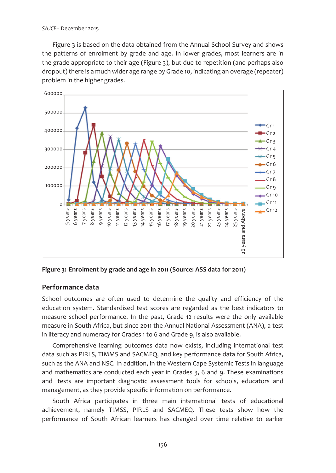Figure 3 is based on the data obtained from the Annual School Survey and shows the patterns of enrolment by grade and age. In lower grades, most learners are in the grade appropriate to their age (Figure 3), but due to repetition (and perhaps also dropout) there is a much wider age range by Grade 10, indicating an overage (repeater) problem in the higher grades.



**Figure 3: Enrolment by grade and age in 2011 (Source: ASS data for 2011)**

#### **Performance data**

School outcomes are often used to determine the quality and efficiency of the education system. Standardised test scores are regarded as the best indicators to measure school performance. In the past, Grade 12 results were the only available measure in South Africa, but since 2011 the Annual National Assessment (ANA), a test in literacy and numeracy for Grades 1 to 6 and Grade 9, is also available.

Comprehensive learning outcomes data now exists, including international test data such as PIRLS, TIMMS and SACMEQ, and key performance data for South Africa, such as the ANA and NSC. In addition, in the Western Cape Systemic Tests in language and mathematics are conducted each year in Grades 3, 6 and 9. These examinations and tests are important diagnostic assessment tools for schools, educators and management, as they provide specific information on performance.

South Africa participates in three main international tests of educational achievement, namely TIMSS, PIRLS and SACMEQ. These tests show how the performance of South African learners has changed over time relative to earlier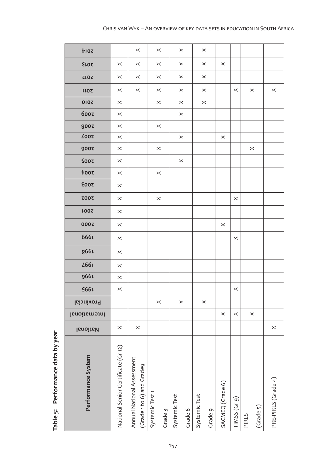# Table 5: Performance data by year **Table 5: Performance data by year**

| <b>IsnoitsM</b><br>Performance System | International | Provincial | 5661     | 9661     | <b>Z661</b> | 866L                 | 2000<br>6661 | 2001     | 2007     | <b><i><u>Eooz</u></i></b> | tooz     | Sooz     | 9007     | Ζοοτ                  | 6οο τ<br>8002 | 2010                  | LIOZ                  | <b>ZIOZ</b>           | <b><i><u>Eloz</u></i></b> | pros     |
|---------------------------------------|---------------|------------|----------|----------|-------------|----------------------|--------------|----------|----------|---------------------------|----------|----------|----------|-----------------------|---------------|-----------------------|-----------------------|-----------------------|---------------------------|----------|
| $\times$                              |               |            | $\times$ | $\times$ | $\times$    | $\times$<br>$\times$ | $\times$     | $\times$ | $\times$ | $\times$                  | $\times$ | $\times$ | $\times$ | $\times$<br>$\times$  | $\times$      | $\times$              | $\times$              | $\times$              | $\times$                  |          |
| $\times$                              |               |            |          |          |             |                      |              |          |          |                           |          |          |          |                       |               |                       | $\times$              | $\times$              | $\times$                  | $\times$ |
|                                       |               | $\times$   |          |          |             |                      |              |          | $\times$ |                           | $\times$ |          | $\times$ | $\times$              |               | $\times$              | $\times$              | $\times$              | $\times$                  | $\times$ |
|                                       |               | $\times$   |          |          |             |                      |              |          |          |                           |          | $\times$ |          | $\times$              | $\times$      | $\times$              | $\times$              | $\times$              | $\times$                  | $\times$ |
|                                       |               | $\times$   |          |          |             |                      |              |          |          |                           |          |          |          |                       |               | $\boldsymbol{\times}$ | $\boldsymbol{\times}$ | $\boldsymbol{\times}$ | $\times$                  | $\times$ |
|                                       | $\times$      |            |          |          |             |                      | $\times$     |          |          |                           |          |          |          | $\boldsymbol{\times}$ |               |                       |                       |                       | $\times$                  |          |
|                                       | $\times$      |            | $\times$ |          |             | $\times$             |              |          | $\times$ |                           |          |          |          |                       |               |                       | $\times$              |                       |                           |          |
|                                       | $\times$      |            |          |          |             |                      |              |          |          |                           |          |          | $\times$ |                       |               |                       | $\times$              |                       |                           |          |
| $\times$                              |               |            |          |          |             |                      |              |          |          |                           |          |          |          |                       |               |                       | $\times$              |                       |                           |          |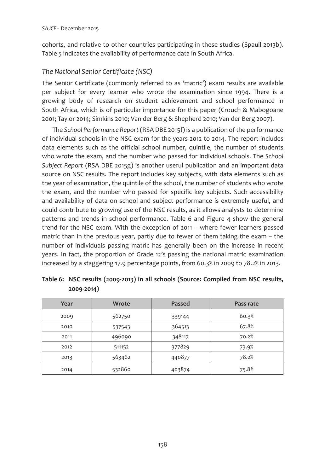cohorts, and relative to other countries participating in these studies (Spaull 2013b). Table 5 indicates the availability of performance data in South Africa.

## *The National Senior Certificate (NSC)*

The Senior Certificate (commonly referred to as 'matric') exam results are available per subject for every learner who wrote the examination since 1994. There is a growing body of research on student achievement and school performance in South Africa, which is of particular importance for this paper (Crouch & Mabogoane 2001; Taylor 2014; Simkins 2010; Van der Berg & Shepherd 2010; Van der Berg 2007).

The *School Performance Report* (RSA DBE 2015f) is a publication of the performance of individual schools in the NSC exam for the years 2012 to 2014. The report includes data elements such as the official school number, quintile, the number of students who wrote the exam, and the number who passed for individual schools. The *School Subject Report* (RSA DBE 2015g) is another useful publication and an important data source on NSC results. The report includes key subjects, with data elements such as the year of examination, the quintile of the school, the number of students who wrote the exam, and the number who passed for specific key subjects. Such accessibility and availability of data on school and subject performance is extremely useful, and could contribute to growing use of the NSC results, as it allows analysts to determine patterns and trends in school performance. Table 6 and Figure 4 show the general trend for the NSC exam. With the exception of 2011 – where fewer learners passed matric than in the previous year, partly due to fewer of them taking the exam – the number of individuals passing matric has generally been on the increase in recent years. In fact, the proportion of Grade 12's passing the national matric examination increased by a staggering 17.9 percentage points, from 60.3% in 2009 to 78.2% in 2013.

| Year | Wrote  | Passed | Pass rate |
|------|--------|--------|-----------|
| 2009 | 562750 | 339144 | 60.3%     |
| 2010 | 537543 | 364513 | 67.8%     |
| 2011 | 496090 | 348117 | 70.2%     |
| 2012 | 511152 | 377829 | 73.9%     |
| 2013 | 563462 | 440877 | 78.2%     |
| 2014 | 532860 | 403874 | 75.8%     |

**Table 6: NSC results (2009-2013) in all schools (Source: Compiled from NSC results, 2009-2014)**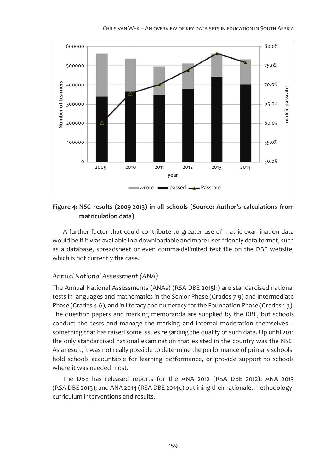

#### **Figure 4: NSC results (2009-2013) in all schools (Source: Author's calculations from matriculation data)**

A further factor that could contribute to greater use of matric examination data would be if it was available in a downloadable and more user-friendly data format, such as a database, spreadsheet or even comma-delimited text file on the DBE website, which is not currently the case.

#### *Annual National Assessment (ANA)*

The Annual National Assessments (ANAs) (RSA DBE 2015h) are standardised national tests in languages and mathematics in the Senior Phase (Grades 7-9) and Intermediate Phase (Grades 4-6), and in literacy and numeracy for the Foundation Phase (Grades 1-3). The question papers and marking memoranda are supplied by the DBE, but schools conduct the tests and manage the marking and internal moderation themselves – something that has raised some issues regarding the quality of such data. Up until 2011 the only standardised national examination that existed in the country was the NSC. As a result, it was not really possible to determine the performance of primary schools, hold schools accountable for learning performance, or provide support to schools where it was needed most.

The DBE has released reports for the ANA 2012 (RSA DBE 2012); ANA 2013 (RSA DBE 2013); and ANA 2014 (RSA DBE 2014c) outlining their rationale, methodology, curriculum interventions and results.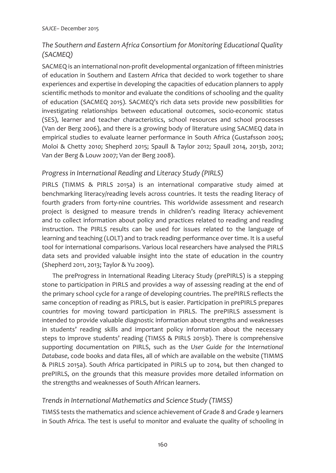# *The Southern and Eastern Africa Consortium for Monitoring Educational Quality (SACMEQ)*

SACMEQ is an international non-profit developmental organization of fifteen ministries of education in Southern and Eastern Africa that decided to work together to share experiences and expertise in developing the capacities of education planners to apply scientific methods to monitor and evaluate the conditions of schooling and the quality of education (SACMEQ 2015). SACMEQ's rich data sets provide new possibilities for investigating relationships between educational outcomes, socio-economic status (SES), learner and teacher characteristics, school resources and school processes (Van der Berg 2006), and there is a growing body of literature using SACMEQ data in empirical studies to evaluate learner performance in South Africa (Gustafsson 2005; Moloi & Chetty 2010; Shepherd 2015; Spaull & Taylor 2012; Spaull 2014, 2013b, 2012; Van der Berg & Louw 2007; Van der Berg 2008).

#### *Progress in International Reading and Literacy Study (PIRLS)*

PIRLS (TIMMS & PIRLS 2015a) is an international comparative study aimed at benchmarking literacy/reading levels across countries. It tests the reading literacy of fourth graders from forty-nine countries. This worldwide assessment and research project is designed to measure trends in children's reading literacy achievement and to collect information about policy and practices related to reading and reading instruction. The PIRLS results can be used for issues related to the language of learning and teaching (LOLT) and to track reading performance over time. It is a useful tool for international comparisons. Various local researchers have analysed the PIRLS data sets and provided valuable insight into the state of education in the country (Shepherd 2011, 2013; Taylor & Yu 2009).

The preProgress in International Reading Literacy Study (prePIRLS) is a stepping stone to participation in PIRLS and provides a way of assessing reading at the end of the primary school cycle for a range of developing countries. The prePIRLS reflects the same conception of reading as PIRLS, but is easier. Participation in prePIRLS prepares countries for moving toward participation in PIRLS. The prePIRLS assessment is intended to provide valuable diagnostic information about strengths and weaknesses in students' reading skills and important policy information about the necessary steps to improve students' reading (TIMSS & PIRLS 2015b). There is comprehensive supporting documentation on PIRLS, such as the *User Guide for the International Database*, code books and data files, all of which are available on the website (TIMMS & PIRLS 2015a). South Africa participated in PIRLS up to 2014, but then changed to prePIRLS, on the grounds that this measure provides more detailed information on the strengths and weaknesses of South African learners.

#### *Trends in International Mathematics and Science Study (TIMSS)*

TIMSS tests the mathematics and science achievement of Grade 8 and Grade 9 learners in South Africa. The test is useful to monitor and evaluate the quality of schooling in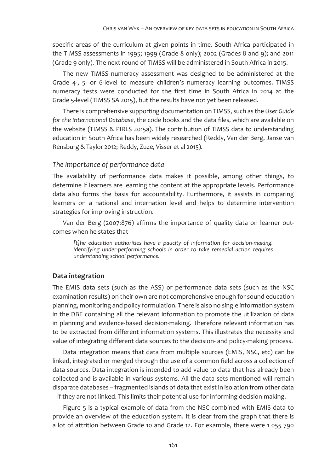specific areas of the curriculum at given points in time. South Africa participated in the TIMSS assessments in 1995; 1999 (Grade 8 only); 2002 (Grades 8 and 9); and 2011 (Grade 9 only). The next round of TIMSS will be administered in South Africa in 2015.

The new TIMSS numeracy assessment was designed to be administered at the Grade 4-, 5- or 6-level to measure children's numeracy learning outcomes. TIMSS numeracy tests were conducted for the first time in South Africa in 2014 at the Grade 5-level (TIMSS SA 2015), but the results have not yet been released.

There is comprehensive supporting documentation on TIMSS, such as the *User Guide for the International Database*, the code books and the data files, which are available on the website (TIMSS & PIRLS 2015a). The contribution of TIMSS data to understanding education in South Africa has been widely researched (Reddy, Van der Berg, Janse van Rensburg & Taylor 2012; Reddy, Zuze, Visser et al 2015).

#### *The importance of performance data*

The availability of performance data makes it possible, among other things, to determine if learners are learning the content at the appropriate levels. Performance data also forms the basis for accountability. Furthermore, it assists in comparing learners on a national and internation level and helps to determine intervention strategies for improving instruction.

Van der Berg (2007:876) affirms the importance of quality data on learner outcomes when he states that

*[t]he education authorities have a paucity of information for decision-making. Identifying under-performing schools in order to take remedial action requires understanding school performance.*

#### **Data integration**

The EMIS data sets (such as the ASS) or performance data sets (such as the NSC examination results) on their own are not comprehensive enough for sound education planning, monitoring and policy formulation. There is also no single information system in the DBE containing all the relevant information to promote the utilization of data in planning and evidence-based decision-making. Therefore relevant information has to be extracted from different information systems. This illustrates the necessity and value of integrating different data sources to the decision- and policy-making process.

Data integration means that data from multiple sources (EMIS, NSC, etc) can be linked, integrated or merged through the use of a common field across a collection of data sources. Data integration is intended to add value to data that has already been collected and is available in various systems. All the data sets mentioned will remain disparate databases – fragmented islands of data that exist in isolation from other data – if they are not linked. This limits their potential use for informing decision-making.

Figure 5 is a typical example of data from the NSC combined with EMIS data to provide an overview of the education system. It is clear from the graph that there is a lot of attrition between Grade 10 and Grade 12. For example, there were 1 055 790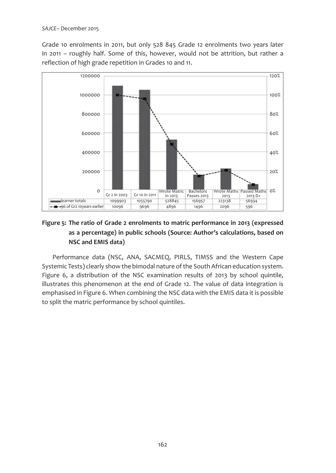Grade 10 enrolments in 2011, but only 528 845 Grade 12 enrolments two years later in 2011 – roughly half. Some of this, however, would not be attrition, but rather a reflection of high grade repetition in Grades 10 and 11.



### **Figure 5: The ratio of Grade 2 enrolments to matric performance in 2013 (expressed as a percentage) in public schools (Source: Author's calculations, based on NSC and EMIS data)**

Performance data (NSC, ANA, SACMEQ, PIRLS, TIMSS and the Western Cape Systemic Tests) clearly show the bimodal nature of the South African education system. Figure 6, a distribution of the NSC examination results of 2013 by school quintile, illustrates this phenomenon at the end of Grade 12. The value of data integration is emphasised in Figure 6. When combining the NSC data with the EMIS data it is possible to split the matric performance by school quintiles.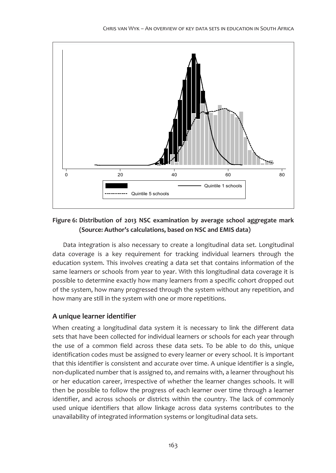

#### **Figure 6: Distribution of 2013 NSC examination by average school aggregate mark (Source: Author's calculations, based on NSC and EMIS data)**

Data integration is also necessary to create a longitudinal data set. Longitudinal data coverage is a key requirement for tracking individual learners through the education system. This involves creating a data set that contains information of the same learners or schools from year to year. With this longitudinal data coverage it is possible to determine exactly how many learners from a specific cohort dropped out of the system, how many progressed through the system without any repetition, and how many are still in the system with one or more repetitions.

#### **A unique learner identifier**

When creating a longitudinal data system it is necessary to link the different data sets that have been collected for individual learners or schools for each year through the use of a common field across these data sets. To be able to do this, unique identification codes must be assigned to every learner or every school. It is important that this identifier is consistent and accurate over time. A unique identifier is a single, non-duplicated number that is assigned to, and remains with, a learner throughout his or her education career, irrespective of whether the learner changes schools. It will then be possible to follow the progress of each learner over time through a learner identifier, and across schools or districts within the country. The lack of commonly used unique identifiers that allow linkage across data systems contributes to the unavailability of integrated information systems or longitudinal data sets.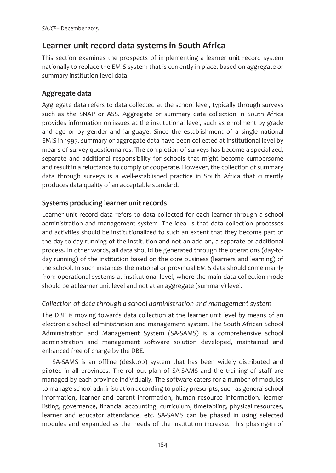# **Learner unit record data systems in South Africa**

This section examines the prospects of implementing a learner unit record system nationally to replace the EMIS system that is currently in place, based on aggregate or summary institution-level data.

# **Aggregate data**

Aggregate data refers to data collected at the school level, typically through surveys such as the SNAP or ASS. Aggregate or summary data collection in South Africa provides information on issues at the institutional level, such as enrolment by grade and age or by gender and language. Since the establishment of a single national EMIS in 1995, summary or aggregate data have been collected at institutional level by means of survey questionnaires. The completion of surveys has become a specialized, separate and additional responsibility for schools that might become cumbersome and result in a reluctance to comply or cooperate. However, the collection of summary data through surveys is a well-established practice in South Africa that currently produces data quality of an acceptable standard.

# **Systems producing learner unit records**

Learner unit record data refers to data collected for each learner through a school administration and management system. The ideal is that data collection processes and activities should be institutionalized to such an extent that they become part of the day-to-day running of the institution and not an add-on, a separate or additional process. In other words, all data should be generated through the operations (day-today running) of the institution based on the core business (learners and learning) of the school. In such instances the national or provincial EMIS data should come mainly from operational systems at institutional level, where the main data collection mode should be at learner unit level and not at an aggregate (summary) level.

# *Collection of data through a school administration and management system*

The DBE is moving towards data collection at the learner unit level by means of an electronic school administration and management system. The South African School Administration and Management System (SA-SAMS) is a comprehensive school administration and management software solution developed, maintained and enhanced free of charge by the DBE.

SA-SAMS is an offline (desktop) system that has been widely distributed and piloted in all provinces. The roll-out plan of SA-SAMS and the training of staff are managed by each province individually. The software caters for a number of modules to manage school administration according to policy prescripts, such as general school information, learner and parent information, human resource information, learner listing, governance, financial accounting, curriculum, timetabling, physical resources, learner and educator attendance, etc. SA-SAMS can be phased in using selected modules and expanded as the needs of the institution increase. This phasing-in of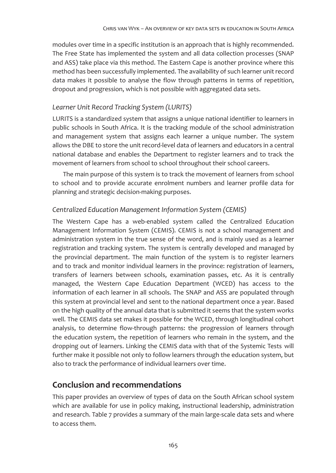modules over time in a specific institution is an approach that is highly recommended. The Free State has implemented the system and all data collection processes (SNAP and ASS) take place via this method. The Eastern Cape is another province where this method has been successfully implemented. The availability of such learner unit record data makes it possible to analyse the flow through patterns in terms of repetition, dropout and progression, which is not possible with aggregated data sets.

#### *Learner Unit Record Tracking System (LURITS)*

LURITS is a standardized system that assigns a unique national identifier to learners in public schools in South Africa. It is the tracking module of the school administration and management system that assigns each learner a unique number. The system allows the DBE to store the unit record-level data of learners and educators in a central national database and enables the Department to register learners and to track the movement of learners from school to school throughout their school careers.

The main purpose of this system is to track the movement of learners from school to school and to provide accurate enrolment numbers and learner profile data for planning and strategic decision-making purposes.

# *Centralized Education Management Information System (CEMIS)*

The Western Cape has a web-enabled system called the Centralized Education Management Information System (CEMIS). CEMIS is not a school management and administration system in the true sense of the word, and is mainly used as a learner registration and tracking system. The system is centrally developed and managed by the provincial department. The main function of the system is to register learners and to track and monitor individual learners in the province: registration of learners, transfers of learners between schools, examination passes, etc. As it is centrally managed, the Western Cape Education Department (WCED) has access to the information of each learner in all schools. The SNAP and ASS are populated through this system at provincial level and sent to the national department once a year. Based on the high quality of the annual data that is submitted it seems that the system works well. The CEMIS data set makes it possible for the WCED, through longitudinal cohort analysis, to determine flow-through patterns: the progression of learners through the education system, the repetition of learners who remain in the system, and the dropping out of learners. Linking the CEMIS data with that of the Systemic Tests will further make it possible not only to follow learners through the education system, but also to track the performance of individual learners over time.

# **Conclusion and recommendations**

This paper provides an overview of types of data on the South African school system which are available for use in policy making, instructional leadership, administration and research. Table 7 provides a summary of the main large-scale data sets and where to access them.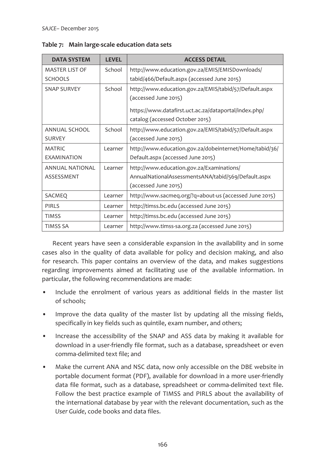| <b>DATA SYSTEM</b>     | <b>LEVEL</b> | <b>ACCESS DETAIL</b>                                    |
|------------------------|--------------|---------------------------------------------------------|
| <b>MASTER LIST OF</b>  | School       | http://www.education.gov.za/EMIS/EMISDownloads/         |
| <b>SCHOOLS</b>         |              | tabid/466/Default.aspx (accessed June 2015)             |
| <b>SNAP SURVEY</b>     | School       | http://www.education.gov.za/EMIS/tabid/57/Default.aspx  |
|                        |              | (accessed June 2015)                                    |
|                        |              | https://www.datafirst.uct.ac.za/dataportal/index.php/   |
|                        |              | catalog (accessed October 2015)                         |
| ANNUAL SCHOOL          | School       | http://www.education.gov.za/EMIS/tabid/57/Default.aspx  |
| <b>SURVEY</b>          |              | (accessed June 2015)                                    |
| <b>MATRIC</b>          | Learner      | http://www.education.gov.za/dobeinternet/Home/tabid/36/ |
| <b>EXAMINATION</b>     |              | Default.aspx (accessed June 2015)                       |
| <b>ANNUAL NATIONAL</b> | Learner      | http://www.education.gov.za/Examinations/               |
| <b>ASSESSMENT</b>      |              | AnnualNationalAssessmentsANA/tabid/569/Default.aspx     |
|                        |              | (accessed June 2015)                                    |
| SACMEQ                 | Learner      | http://www.sacmeg.org/?g=about-us (accessed June 2015)  |
| PIRLS                  | Learner      | http://timss.bc.edu (accessed June 2015)                |
| <b>TIMSS</b>           | Learner      | http://timss.bc.edu (accessed June 2015)                |
| <b>TIMSS SA</b>        | Learner      | http://www.timss-sa.org.za (accessed June 2015)         |

**Table 7: Main large-scale education data sets**

Recent years have seen a considerable expansion in the availability and in some cases also in the quality of data available for policy and decision making, and also for research. This paper contains an overview of the data, and makes suggestions regarding improvements aimed at facilitating use of the available information. In particular, the following recommendations are made:

- Include the enrolment of various years as additional fields in the master list of schools;
- Improve the data quality of the master list by updating all the missing fields, specifically in key fields such as quintile, exam number, and others;
- Increase the accessibility of the SNAP and ASS data by making it available for download in a user-friendly file format, such as a database, spreadsheet or even comma-delimited text file; and
- Make the current ANA and NSC data, now only accessible on the DBE website in portable document format (PDF), available for download in a more user-friendly data file format, such as a database, spreadsheet or comma-delimited text file. Follow the best practice example of TIMSS and PIRLS about the availability of the international database by year with the relevant documentation, such as the *User Guide*, code books and data files.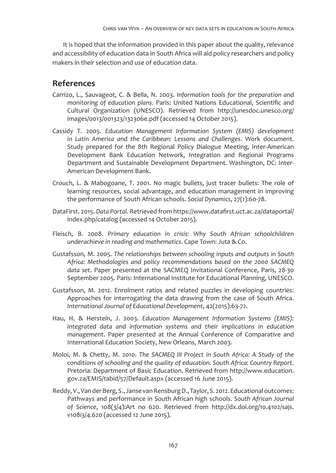It is hoped that the information provided in this paper about the quality, relevance and accessibility of education data in South Africa will aid policy researchers and policy makers in their selection and use of education data.

# **References**

- Carrizo, L., Sauvageot, C. & Bella, N. 2003. *Information tools for the preparation and monitoring of education plans*. Paris: United Nations Educational, Scientific and Cultural Organization (UNESCO). Retrieved from http://unesdoc.unesco.org/ images/0013/001323/132306e.pdf (accessed 14 October 2015).
- Cassidy T. 2005. *Education Management Information System (EMIS) development in Latin America and the Caribbean: Lessons and Challenges*. Work document. Study prepared for the 8th Regional Policy Dialogue Meeting, Inter-American Development Bank Education Network, Integration and Regional Programs Department and Sustainable Development Department. Washington, DC: Inter-American Development Bank.
- Crouch, L. & Mabogoane, T. 2001. No magic bullets, just tracer bullets: The role of learning resources, social advantage, and education management in improving the performance of South African schools. *Social Dynamics*, 27(1):60-78.
- DataFirst. 2015. *Data Portal*. Retrieved from https://www.datafirst.uct.ac.za/dataportal/ index.php/catalog (accessed 14 October 2015).
- Fleisch, B. 2008. *Primary education in crisis: Why South African schoolchildren underachieve in reading and mathematics*. Cape Town: Juta & Co.
- Gustafsson, M. 2005. *The relationships between schooling inputs and outputs in South Africa: Methodologies and policy recommendations based on the 2000 SACMEQ data set*. Paper presented at the SACMEQ Invitational Conference, Paris, 28-30 September 2005. Paris: International Institute for Educational Planning, UNESCO.
- Gustafsson, M. 2012. Enrolment ratios and related puzzles in developing countries: Approaches for interrogating the data drawing from the case of South Africa. *International Journal of Educational Development*, 42(2015):63-72.
- Hau, H. & Herstein, J. 2003. *Education Management Information Systems (EMIS): Integrated data and information systems and their implications in education management*. Paper presented at the Annual Conference of Comparative and International Education Society, New Orleans, March 2003.
- Moloi, M. & Chetty, M. 2010. *The SACMEQ III Project in South Africa: A Study of the conditions of schooling and the quality of education. South Africa: Country Report*. Pretoria: Department of Basic Education. Retrieved from http://www.education. gov.za/EMIS/tabid/57/Default.aspx (accessed 16 June 2015).
- Reddy, V., Van der Berg, S., Janse van Rensburg D., Taylor, S. 2012. Educational outcomes: Pathways and performance in South African high schools. *South African Journal of Science*, 108(3/4):Art no 620. Retrieved from http://dx.doi.org/10.4102/sajs. v108i3/4.620 (accessed 12 June 2015).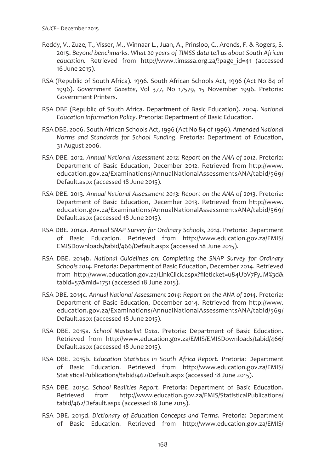- Reddy, V., Zuze, T., Visser, M., Winnaar L., Juan, A., Prinsloo, C., Arends, F. & Rogers, S. 2015. *Beyond benchmarks. What 20 years of TIMSS data tell us about South African education.* Retrieved from http://www.timsssa.org.za/?page\_id=41 (accessed 16 June 2015).
- RSA (Republic of South Africa). 1996. South African Schools Act, 1996 (Act No 84 of 1996). *Government Gazette*, Vol 377, No 17579, 15 November 1996. Pretoria: Government Printers.
- RSA DBE (Republic of South Africa. Department of Basic Education). 2004. *National Education Information Policy*. Pretoria: Department of Basic Education.
- RSA DBE. 2006. South African Schools Act, 1996 (Act No 84 of 1996). *Amended National Norms and Standards for School Funding*. Pretoria: Department of Education, 31 August 2006.
- RSA DBE. 2012. *Annual National Assessment 2012: Report on the ANA of 2012*. Pretoria: Department of Basic Education, December 2012. Retrieved from http://www. education.gov.za/Examinations/AnnualNationalAssessmentsANA/tabid/569/ Default.aspx (accessed 18 June 2015).
- RSA DBE. 2013*. Annual National Assessment 2013: Report on the ANA of 2013*. Pretoria: Department of Basic Education, December 2013. Retrieved from http://www. education.gov.za/Examinations/AnnualNationalAssessmentsANA/tabid/569/ Default.aspx (accessed 18 June 2015).
- RSA DBE. 2014a. *Annual SNAP Survey for Ordinary Schools, 2014*. Pretoria: Department of Basic Education. Retrieved from http://www.education.gov.za/EMIS/ EMISDownloads/tabid/466/Default.aspx (accessed 18 June 2015).
- RSA DBE. 2014b. *National Guidelines on: Completing the SNAP Survey for Ordinary Schools 2014.* Pretoria: Department of Basic Education, December 2014. Retrieved from http://www.education.gov.za/LinkClick.aspx?fileticket=u84UbV7FyJM%3d& tabid=57&mid=1751 (accessed 18 June 2015).
- RSA DBE. 2014c*. Annual National Assessment 2014: Report on the ANA of 2014*. Pretoria: Department of Basic Education, December 2014. Retrieved from http://www. education.gov.za/Examinations/AnnualNationalAssessmentsANA/tabid/569/ Default.aspx (accessed 18 June 2015).
- RSA DBE. 2015a. *School Masterlist Data*. Pretoria: Department of Basic Education. Retrieved from http://www.education.gov.za/EMIS/EMISDownloads/tabid/466/ Default.aspx (accessed 18 June 2015).
- RSA DBE. 2015b. *Education Statistics in South Africa Report*. Pretoria: Department of Basic Education. Retrieved from http://www.education.gov.za/EMIS/ StatisticalPublications/tabid/462/Default.aspx (accessed 18 June 2015).
- RSA DBE. 2015c. *School Realities Report*. Pretoria: Department of Basic Education. Retrieved from http://www.education.gov.za/EMIS/StatisticalPublications/ tabid/462/Default.aspx (accessed 18 June 2015).
- RSA DBE. 2015d. *Dictionary of Education Concepts and Terms.* Pretoria: Department of Basic Education. Retrieved from http://www.education.gov.za/EMIS/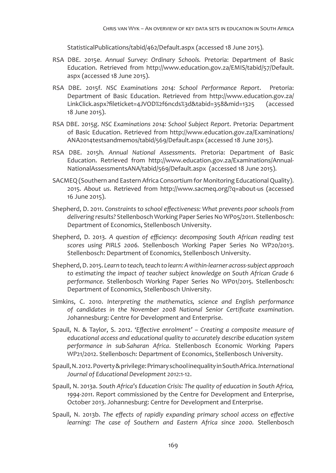StatisticalPublications/tabid/462/Default.aspx (accessed 18 June 2015).

- RSA DBE. 2015e. *Annual Survey: Ordinary Schools.* Pretoria: Department of Basic Education. Retrieved from http://www.education.gov.za/EMIS/tabid/57/Default. aspx (accessed 18 June 2015).
- RSA DBE. 2015f. *NSC Examinations 2014: School Performance Report*. Pretoria: Department of Basic Education. Retrieved from http://www.education.gov.za/ LinkClick.aspx?fileticket=4JVOD%2f6ncds%3d&tabid=358&mid=1325 (accessed 18 June 2015).
- RSA DBE. 2015g. *NSC Examinations 2014: School Subject Report*. Pretoria: Department of Basic Education. Retrieved from http://www.education.gov.za/Examinations/ ANA2014testsandmemos/tabid/569/Default.aspx (accessed 18 June 2015).
- RSA DBE. 2015h*. Annual National Assessments*. Pretoria: Department of Basic Education. Retrieved from http://www.education.gov.za/Examinations/Annual-NationalAssessmentsANA/tabid/569/Default.aspx (accessed 18 June 2015).
- SACMEQ (Southern and Eastern Africa Consortium for Monitoring Educational Quality). 2015. *About us*. Retrieved from http://www.sacmeq.org/?q=about-us (accessed 16 June 2015).
- Shepherd, D. 2011. *Constraints to school effectiveness: What prevents poor schools from delivering results?* Stellenbosch Working Paper Series No WP05/2011. Stellenbosch: Department of Economics, Stellenbosch University.
- Shepherd, D. 2013. *A question of efficiency: decomposing South African reading test scores using PIRLS 2006.* Stellenbosch Working Paper Series No WP20/2013. Stellenbosch: Department of Economics, Stellenbosch University.
- Shepherd, D. 2015. *Learn to teach, teach to learn: A within-learner across-subject approach to estimating the impact of teacher subject knowledge on South African Grade 6 performance*. Stellenbosch Working Paper Series No WP01/2015. Stellenbosch: Department of Economics, Stellenbosch University.
- Simkins, C. 2010. *Interpreting the mathematics, science and English performance of candidates in the November 2008 National Senior Certificate examination*. Johannesburg: Centre for Development and Enterprise.
- Spaull, N. & Taylor, S. 2012. *'Effective enrolment' Creating a composite measure of educational access and educational quality to accurately describe education system performance in sub-Saharan Africa*. Stellenbosch Economic Working Papers WP21/2012. Stellenbosch: Department of Economics, Stellenbosch University.
- Spaull, N. 2012. Poverty & privilege: Primary school inequality in South Africa.*International Journal of Educational Development 2012*:1-12.
- Spaull, N. 2013a. *South Africa's Education Crisis: The quality of education in South Africa, 1994-2011*. Report commissioned by the Centre for Development and Enterprise, October 2013. Johannesburg: Centre for Development and Enterprise.
- Spaull, N. 2013b. *The effects of rapidly expanding primary school access on effective learning: The case of Southern and Eastern Africa since 2000.* Stellenbosch